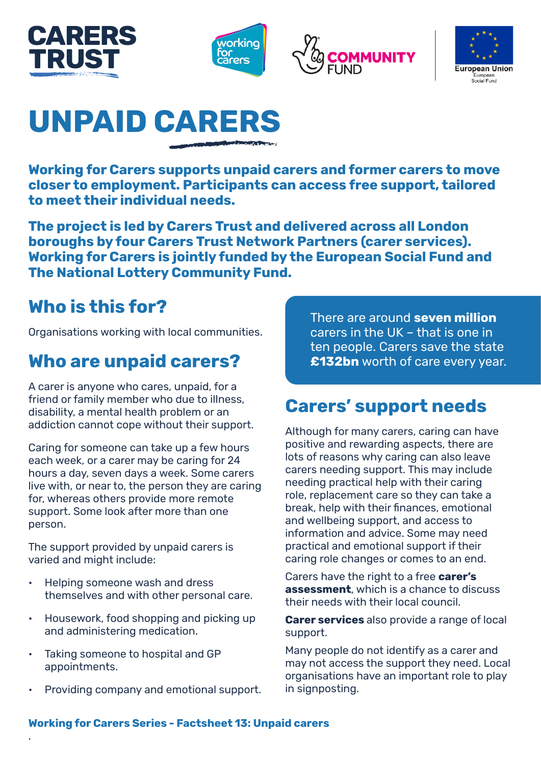







# **UNPAID CARERS**

**Working for Carers supports unpaid carers and former carers to move closer to employment. Participants can access free support, tailored to meet their individual needs.**

**The project is led by Carers Trust and delivered across all London boroughs by four Carers Trust Network Partners (carer services). Working for Carers is jointly funded by the European Social Fund and The National Lottery Community Fund.**

## **Who is this for?**

Organisations working with local communities.

### **Who are unpaid carers?**

A carer is anyone who cares, unpaid, for a friend or family member who due to illness, disability, a mental health problem or an addiction cannot cope without their support.

Caring for someone can take up a few hours each week, or a carer may be caring for 24 hours a day, seven days a week. Some carers live with, or near to, the person they are caring for, whereas others provide more remote support. Some look after more than one person.

The support provided by unpaid carers is varied and might include:

- Helping someone wash and dress themselves and with other personal care.
- Housework, food shopping and picking up and administering medication.
- Taking someone to hospital and GP appointments.

.

• Providing company and emotional support.

There are around **seven million** carers in the UK – that is one in ten people. Carers save the state **£132bn** worth of care every year.

## **Carers' support needs**

Although for many carers, caring can have positive and rewarding aspects, there are lots of reasons why caring can also leave carers needing support. This may include needing practical help with their caring role, replacement care so they can take a break, help with their finances, emotional and wellbeing support, and access to information and advice. Some may need practical and emotional support if their caring role changes or comes to an end.

Carers have the right to a free **carer's assessment**, which is a chance to discuss their needs with their local council.

**Carer services** also provide a range of local support.

Many people do not identify as a carer and may not access the support they need. Local organisations have an important role to play in signposting.